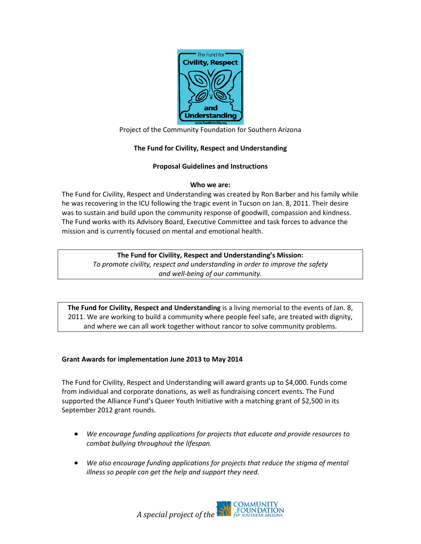

Project of the Community Foundation for Southern Arizona

# **The Fund for Civility, Respect and Understanding**

## **Proposal Guidelines and Instructions**

## Who we are:

The Fund for Civility, Respect and Understanding was created by Ron Barber and his family while he was recovering in the ICU following the tragic event in Tucson on Jan. 8, 2011. Their desire was to sustain and build upon the community response of goodwill, compassion and kindness. The Fund works with its Advisory Board, Executive Committee and task forces to advance the mission and is currently focused on mental and emotional health.

> The Fund for Civility, Respect and Understanding's Mission: To promote civility, respect and understanding in order to improve the safety and well-being of our community.

**The Fund for Civility, Respect and Understanding** is a living memorial to the events of Jan. 8, 2011. We are working to build a community where people feel safe, are treated with dignity, and where we can all work together without rancor to solve community problems.

## **Grant Awards\$for implementation\$June\$2013 to\$May 2014**

The Fund for Civility, Respect and Understanding will award grants up to \$4,000. Funds come from individual and corporate donations, as well as fundraising concert events. The Fund supported the Alliance Fund's Queer Youth Initiative with a matching grant of \$2,500 in its September 2012 grant rounds.

- **■** *We encourage funding applications for projects that educate and provide resources to combat bullying throughout the lifespan.*
- We also encourage funding applications for projects that reduce the stigma of mental *illness so people can get the help and support they need.*

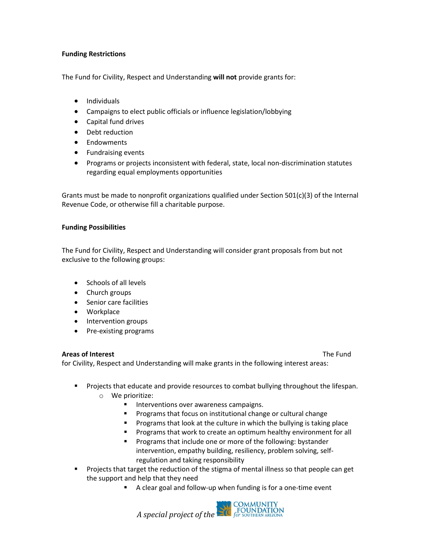### **Funding Restrictions**

The Fund for Civility, Respect and Understanding will not provide grants for:

- · Individuals
- Campaigns to elect public officials or influence legislation/lobbying
- Capital fund drives
- Debt reduction
- Endowments
- Fundraising events
- Programs or projects inconsistent with federal, state, local non-discrimination statutes regarding equal employments opportunities

Grants must be made to nonprofit organizations qualified under Section  $501(c)(3)$  of the Internal Revenue Code, or otherwise fill a charitable purpose.

### **Funding Possibilities**

The Fund for Civility, Respect and Understanding will consider grant proposals from but not exclusive to the following groups:

- Schools of all levels
- Church groups
- Senior care facilities
- Workplace
- Intervention groups
- Pre-existing programs

## **Areas of Interest**

The Fund

for Civility, Respect and Understanding will make grants in the following interest areas:

- " Projects that educate and provide resources to combat bullying throughout the lifespan.  $\circ$  We prioritize:
	- Interventions over awareness campaigns.  $\blacksquare$
	- Programs that focus on institutional change or cultural change
	- $\mathbf{R}^{(1)}$ Programs that look at the culture in which the bullying is taking place
	- $\mathbf{r}$ Programs that work to create an optimum healthy environment for all
	- Programs that include one or more of the following: bystander  $\mathbf{u}$  . intervention, empathy building, resiliency, problem solving, selfregulation and taking responsibility
- Projects that target the reduction of the stigma of mental illness so that people can get the support and help that they need
	- A clear goal and follow-up when funding is for a one-time event

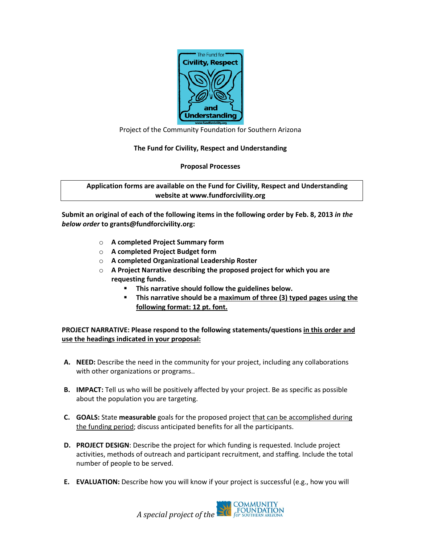

Project of the Community Foundation for Southern Arizona

### The Fund for Civility, Respect and Understanding

#### **Proposal Processes**

### Application forms are available on the Fund for Civility, Respect and Understanding website at www.fundforcivility.org

Submit an original of each of the following items in the following order by Feb. 8, 2013 in the below order to grants@fundforcivility.org:

- A completed Project Summary form
- $\circ$  A completed Project Budget form
- O A completed Organizational Leadership Roster
- $\circ$  A Project Narrative describing the proposed project for which you are requesting funds.
	- This narrative should follow the guidelines below.
	- This narrative should be a maximum of three (3) typed pages using the following format: 12 pt. font.

PROJECT NARRATIVE: Please respond to the following statements/questions in this order and use the headings indicated in your proposal:

- A. NEED: Describe the need in the community for your project, including any collaborations with other organizations or programs..
- **B.** IMPACT: Tell us who will be positively affected by your project. Be as specific as possible about the population you are targeting.
- C. GOALS: State measurable goals for the proposed project that can be accomplished during the funding period; discuss anticipated benefits for all the participants.
- D. PROJECT DESIGN: Describe the project for which funding is requested. Include project activities, methods of outreach and participant recruitment, and staffing. Include the total number of people to be served.
- E. EVALUATION: Describe how you will know if your project is successful (e.g., how you will

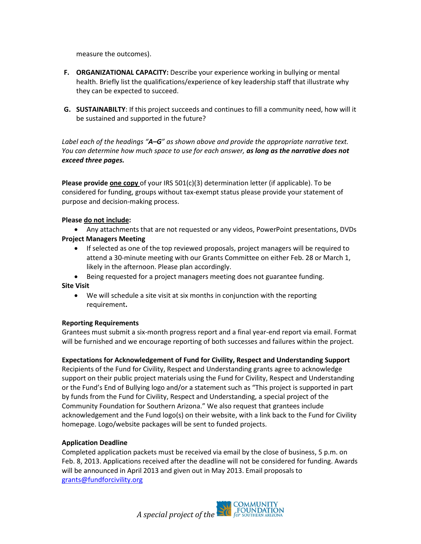measure the outcomes).

- **F. ORGANIZATIONAL CAPACITY:** Describe your experience working in bullying or mental health. Briefly list the qualifications/experience of key leadership staff that illustrate why they can be expected to succeed.
- **G.** SUSTAINABILTY: If this project succeeds and continues to fill a community need, how will it be sustained and supported in the future?

Label each of the headings "**A–G**" as shown above and provide the appropriate narrative text. *You can determine how much space to use for each answer, as long as the narrative does not exceed three pages.* 

**Please provide one copy** of your IRS 501(c)(3) determination letter (if applicable). To be considered for funding, groups without tax-exempt status please provide your statement of purpose and decision-making process.

#### **Please do not include:**

- Any attachments that are not requested or any videos, PowerPoint presentations, DVDs **Project\$Managers Meeting**
	- If selected as one of the top reviewed proposals, project managers will be required to attend a 30-minute meeting with our Grants Committee on either Feb. 28 or March 1, likely in the afternoon. Please plan accordingly.
	- **•** Being requested for a project managers meeting does not guarantee funding.

#### **Site Visit**

• We will schedule a site visit at six months in conjunction with the reporting requirement**.**

## **Reporting\$Requirements**

Grantees must submit a six-month progress report and a final year-end report via email. Format will be furnished and we encourage reporting of both successes and failures within the project.

## **Expectations for Acknowledgement of Fund for Civility, Respect and Understanding Support**

Recipients of the Fund for Civility, Respect and Understanding grants agree to acknowledge support on their public project materials using the Fund for Civility, Respect and Understanding or the Fund's End of Bullying logo and/or a statement such as "This project is supported in part by funds from the Fund for Civility, Respect and Understanding, a special project of the Community Foundation for Southern Arizona." We also request that grantees include acknowledgement and the Fund logo(s) on their website, with a link back to the Fund for Civility homepage. Logo/website packages will be sent to funded projects.

## **Application\$Deadline**

Completed application packets must be received via email by the close of business, 5 p.m. on Feb. 8, 2013. Applications received after the deadline will not be considered for funding. Awards will be announced in April 2013 and given out in May 2013. Email proposals to [grants@fundforcivility.org](mailto:jennie@fundforcivility.org)

*A* special project of the